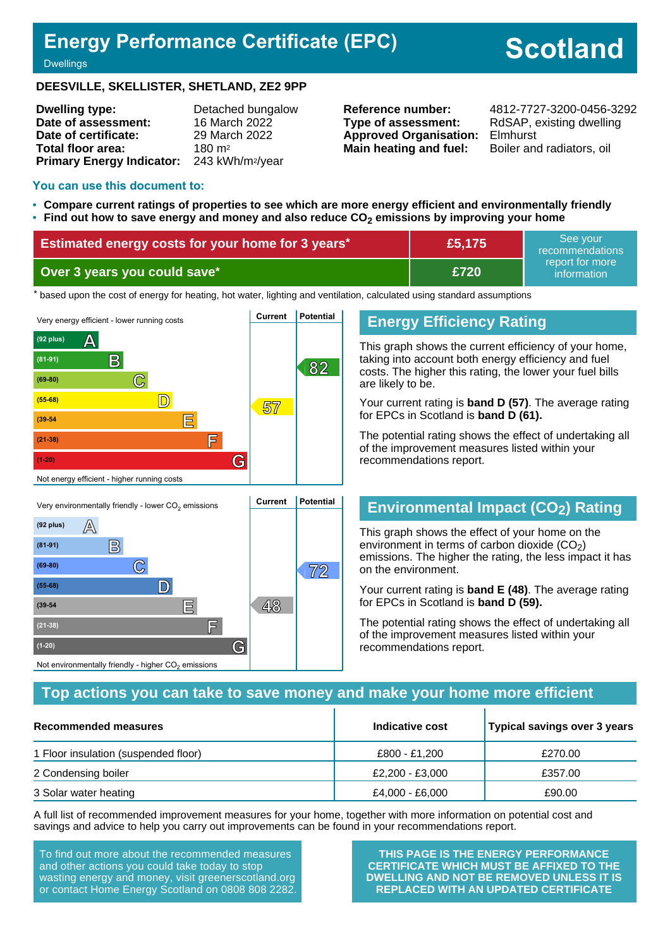## **Energy Performance Certificate (EPC)**

# **Scotland**

**Dwellings** 

#### **DEESVILLE, SKELLISTER, SHETLAND, ZE2 9PP**

| <b>Dwelling type:</b>                                  | Detached bungalow |
|--------------------------------------------------------|-------------------|
| Date of assessment:                                    | 16 March 2022     |
| Date of certificate:                                   | 29 March 2022     |
| Total floor area:                                      | $180 \text{ m}^2$ |
| Primary Energy Indicator: 243 kWh/m <sup>2</sup> /year |                   |

**Type of assessment:** RdSAP, existing dwelling **Approved Organisation:** Elmhurst **Main heating and fuel:** Boiler and radiators, oil

**Reference number:** 4812-7727-3200-0456-3292

#### **You can use this document to:**

- **Compare current ratings of properties to see which are more energy efficient and environmentally friendly**
- **Find out how to save energy and money and also reduce CO2 emissions by improving your home**

| <b>Estimated energy costs for your home for 3 years*</b> | £5,175 | See vour<br>recommendations    |
|----------------------------------------------------------|--------|--------------------------------|
| Over 3 years you could save*                             | £720   | report for more<br>information |

the based upon the cost of energy for heating, hot water, lighting and ventilation, calculated using standard assumptions



## **Energy Efficiency Rating**

This graph shows the current efficiency of your home, taking into account both energy efficiency and fuel costs. The higher this rating, the lower your fuel bills are likely to be.

Your current rating is **band D (57)**. The average rating for EPCs in Scotland is **band D (61).**

The potential rating shows the effect of undertaking all of the improvement measures listed within your recommendations report.

## **Environmental Impact (CO2) Rating**

This graph shows the effect of your home on the environment in terms of carbon dioxide  $(CO<sub>2</sub>)$ emissions. The higher the rating, the less impact it has on the environment.

Your current rating is **band E (48)**. The average rating for EPCs in Scotland is **band D (59).**

The potential rating shows the effect of undertaking all of the improvement measures listed within your recommendations report.

#### **Top actions you can take to save money and make your home more efficient**

| Recommended measures                 | Indicative cost | Typical savings over 3 years |
|--------------------------------------|-----------------|------------------------------|
| 1 Floor insulation (suspended floor) | £800 - £1.200   | £270.00                      |
| 2 Condensing boiler                  | £2,200 - £3,000 | £357.00                      |
| 3 Solar water heating                | £4,000 - £6,000 | £90.00                       |

A full list of recommended improvement measures for your home, together with more information on potential cost and savings and advice to help you carry out improvements can be found in your recommendations report.

To find out more about the recommended measures and other actions you could take today to stop wasting energy and money, visit greenerscotland.org or contact Home Energy Scotland on 0808 808 2282.

**(39-54 E 48**

**(21-38) F**

Not environmentally friendly - higher  $\mathrm{CO}_2$  emissions

**(1-20) G**

**THIS PAGE IS THE ENERGY PERFORMANCE CERTIFICATE WHICH MUST BE AFFIXED TO THE DWELLING AND NOT BE REMOVED UNLESS IT IS REPLACED WITH AN UPDATED CERTIFICATE**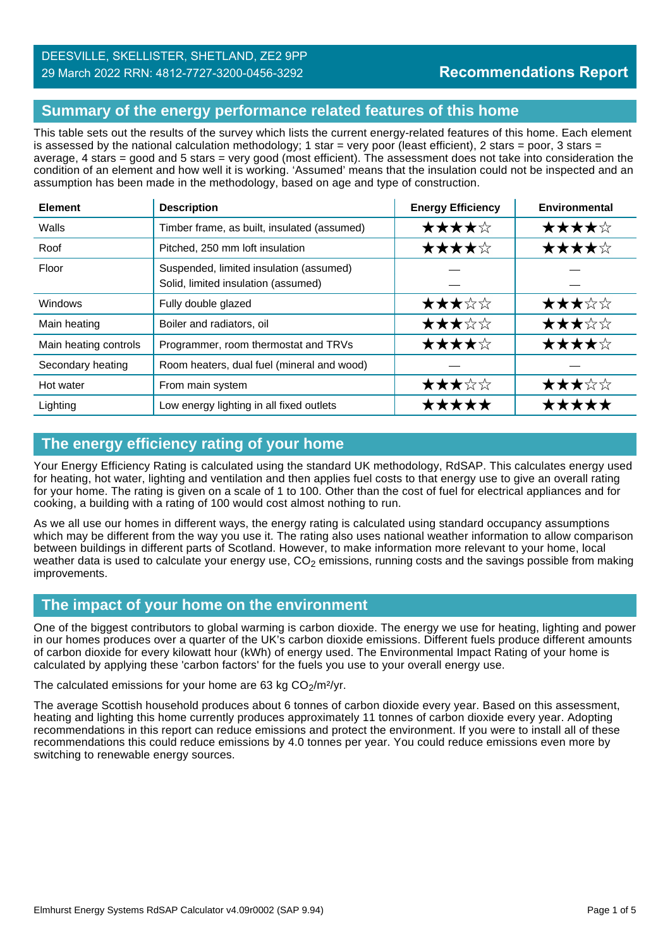## **Summary of the energy performance related features of this home**

This table sets out the results of the survey which lists the current energy-related features of this home. Each element is assessed by the national calculation methodology; 1 star = very poor (least efficient), 2 stars = poor, 3 stars = average, 4 stars = good and 5 stars = very good (most efficient). The assessment does not take into consideration the condition of an element and how well it is working. 'Assumed' means that the insulation could not be inspected and an assumption has been made in the methodology, based on age and type of construction.

| <b>Element</b>        | <b>Description</b>                                                             | <b>Energy Efficiency</b> | Environmental |
|-----------------------|--------------------------------------------------------------------------------|--------------------------|---------------|
| Walls                 | Timber frame, as built, insulated (assumed)                                    | ★★★★☆                    | ★★★★☆         |
| Roof                  | Pitched, 250 mm loft insulation                                                | ★★★★☆                    | ★★★★☆         |
| Floor                 | Suspended, limited insulation (assumed)<br>Solid, limited insulation (assumed) |                          |               |
| Windows               | Fully double glazed                                                            | ★★★☆☆                    | ★★★☆☆         |
| Main heating          | Boiler and radiators, oil                                                      | ★★★☆☆                    | ★★★☆☆         |
| Main heating controls | Programmer, room thermostat and TRVs                                           | ★★★★☆                    | ★★★★☆         |
| Secondary heating     | Room heaters, dual fuel (mineral and wood)                                     |                          |               |
| Hot water             | From main system                                                               | ★★★☆☆                    | ★★★☆☆         |
| Lighting              | Low energy lighting in all fixed outlets                                       | *****                    |               |

## **The energy efficiency rating of your home**

Your Energy Efficiency Rating is calculated using the standard UK methodology, RdSAP. This calculates energy used for heating, hot water, lighting and ventilation and then applies fuel costs to that energy use to give an overall rating for your home. The rating is given on a scale of 1 to 100. Other than the cost of fuel for electrical appliances and for cooking, a building with a rating of 100 would cost almost nothing to run.

As we all use our homes in different ways, the energy rating is calculated using standard occupancy assumptions which may be different from the way you use it. The rating also uses national weather information to allow comparison between buildings in different parts of Scotland. However, to make information more relevant to your home, local weather data is used to calculate your energy use,  $CO<sub>2</sub>$  emissions, running costs and the savings possible from making improvements.

## **The impact of your home on the environment**

One of the biggest contributors to global warming is carbon dioxide. The energy we use for heating, lighting and power in our homes produces over a quarter of the UK's carbon dioxide emissions. Different fuels produce different amounts of carbon dioxide for every kilowatt hour (kWh) of energy used. The Environmental Impact Rating of your home is calculated by applying these 'carbon factors' for the fuels you use to your overall energy use.

#### The calculated emissions for your home are 63 kg  $CO<sub>2</sub>/m<sup>2</sup>/yr$ .

The average Scottish household produces about 6 tonnes of carbon dioxide every year. Based on this assessment, heating and lighting this home currently produces approximately 11 tonnes of carbon dioxide every year. Adopting recommendations in this report can reduce emissions and protect the environment. If you were to install all of these recommendations this could reduce emissions by 4.0 tonnes per year. You could reduce emissions even more by switching to renewable energy sources.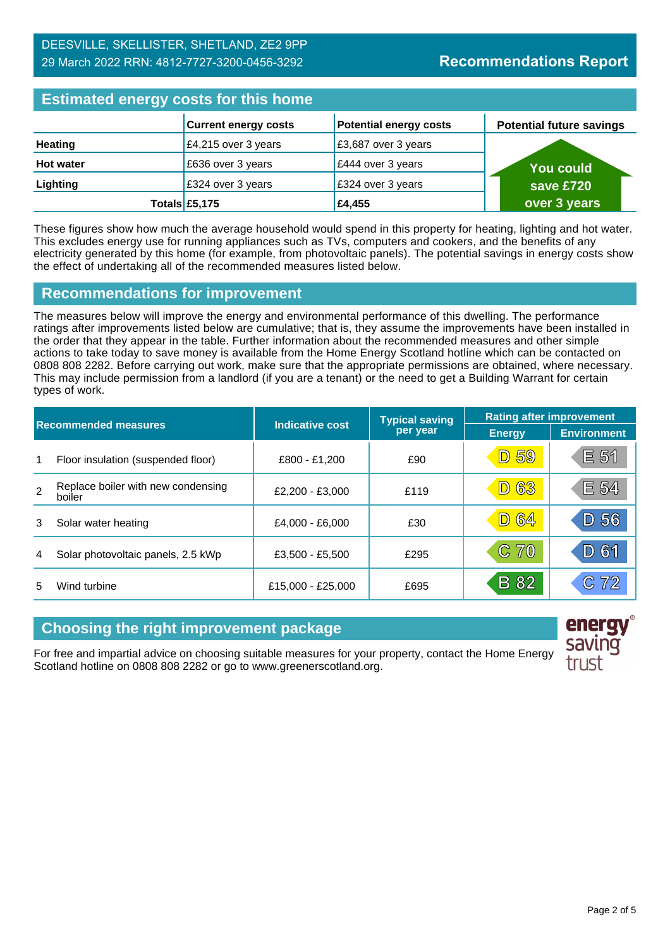## **Estimated energy costs for this home**

| Editional and all and the contract of the state of |                             |                               |                                 |  |
|----------------------------------------------------|-----------------------------|-------------------------------|---------------------------------|--|
|                                                    | <b>Current energy costs</b> | <b>Potential energy costs</b> | <b>Potential future savings</b> |  |
| <b>Heating</b>                                     | £4,215 over 3 years         | £3,687 over 3 years           |                                 |  |
| <b>Hot water</b>                                   | £636 over 3 years           | £444 over 3 years             | <b>You could</b>                |  |
| Lighting                                           | £324 over 3 years           | £324 over 3 years             | save £720                       |  |
|                                                    | Totals £5,175               | £4,455                        | over 3 years                    |  |

These figures show how much the average household would spend in this property for heating, lighting and hot water. This excludes energy use for running appliances such as TVs, computers and cookers, and the benefits of any electricity generated by this home (for example, from photovoltaic panels). The potential savings in energy costs show the effect of undertaking all of the recommended measures listed below.

## **Recommendations for improvement**

The measures below will improve the energy and environmental performance of this dwelling. The performance ratings after improvements listed below are cumulative; that is, they assume the improvements have been installed in the order that they appear in the table. Further information about the recommended measures and other simple actions to take today to save money is available from the Home Energy Scotland hotline which can be contacted on 0808 808 2282. Before carrying out work, make sure that the appropriate permissions are obtained, where necessary. This may include permission from a landlord (if you are a tenant) or the need to get a Building Warrant for certain types of work.

| <b>Recommended measures</b> |                                              |                   | <b>Typical saving</b> | <b>Rating after improvement</b> |                    |
|-----------------------------|----------------------------------------------|-------------------|-----------------------|---------------------------------|--------------------|
|                             |                                              | Indicative cost   | per year              | <b>Energy</b>                   | <b>Environment</b> |
| 1                           | Floor insulation (suspended floor)           | £800 - £1,200     | £90                   | <b>D</b> 59                     | E 51               |
| $\mathfrak{p}$              | Replace boiler with new condensing<br>boiler | £2,200 - £3,000   | £119                  | <b>D63</b>                      | E 54               |
| 3                           | Solar water heating                          | £4,000 - £6,000   | £30                   | <b>D 64</b>                     | D 56               |
| 4                           | Solar photovoltaic panels, 2.5 kWp           | £3,500 - £5,500   | £295                  | C 70                            | D 61               |
| 5                           | Wind turbine                                 | £15,000 - £25,000 | £695                  | <b>B</b> 82                     | C72                |

## **Choosing the right improvement package**

For free and impartial advice on choosing suitable measures for your property, contact the Home Energy Scotland hotline on 0808 808 2282 or go to www.greenerscotland.org.



energy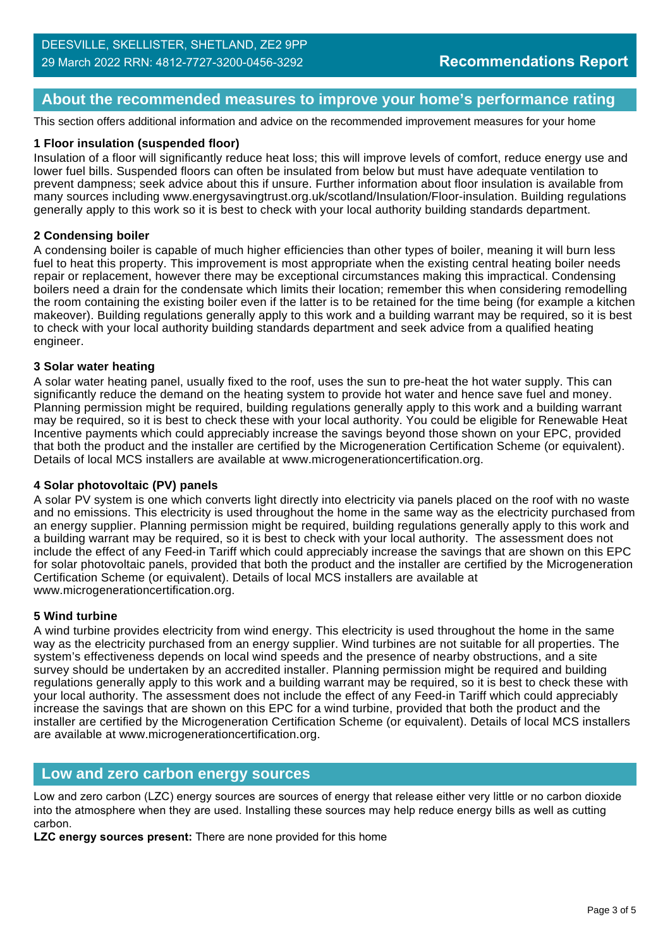## **About the recommended measures to improve your home's performance rating**

This section offers additional information and advice on the recommended improvement measures for your home

#### **1 Floor insulation (suspended floor)**

Insulation of a floor will significantly reduce heat loss; this will improve levels of comfort, reduce energy use and lower fuel bills. Suspended floors can often be insulated from below but must have adequate ventilation to prevent dampness; seek advice about this if unsure. Further information about floor insulation is available from many sources including www.energysavingtrust.org.uk/scotland/Insulation/Floor-insulation. Building regulations generally apply to this work so it is best to check with your local authority building standards department.

#### **2 Condensing boiler**

A condensing boiler is capable of much higher efficiencies than other types of boiler, meaning it will burn less fuel to heat this property. This improvement is most appropriate when the existing central heating boiler needs repair or replacement, however there may be exceptional circumstances making this impractical. Condensing boilers need a drain for the condensate which limits their location; remember this when considering remodelling the room containing the existing boiler even if the latter is to be retained for the time being (for example a kitchen makeover). Building regulations generally apply to this work and a building warrant may be required, so it is best to check with your local authority building standards department and seek advice from a qualified heating engineer.

#### **3 Solar water heating**

A solar water heating panel, usually fixed to the roof, uses the sun to pre-heat the hot water supply. This can significantly reduce the demand on the heating system to provide hot water and hence save fuel and money. Planning permission might be required, building regulations generally apply to this work and a building warrant may be required, so it is best to check these with your local authority. You could be eligible for Renewable Heat Incentive payments which could appreciably increase the savings beyond those shown on your EPC, provided that both the product and the installer are certified by the Microgeneration Certification Scheme (or equivalent). Details of local MCS installers are available at www.microgenerationcertification.org.

#### **4 Solar photovoltaic (PV) panels**

A solar PV system is one which converts light directly into electricity via panels placed on the roof with no waste and no emissions. This electricity is used throughout the home in the same way as the electricity purchased from an energy supplier. Planning permission might be required, building regulations generally apply to this work and a building warrant may be required, so it is best to check with your local authority. The assessment does not include the effect of any Feed-in Tariff which could appreciably increase the savings that are shown on this EPC for solar photovoltaic panels, provided that both the product and the installer are certified by the Microgeneration Certification Scheme (or equivalent). Details of local MCS installers are available at www.microgenerationcertification.org.

#### **5 Wind turbine**

A wind turbine provides electricity from wind energy. This electricity is used throughout the home in the same way as the electricity purchased from an energy supplier. Wind turbines are not suitable for all properties. The system's effectiveness depends on local wind speeds and the presence of nearby obstructions, and a site survey should be undertaken by an accredited installer. Planning permission might be required and building regulations generally apply to this work and a building warrant may be required, so it is best to check these with your local authority. The assessment does not include the effect of any Feed-in Tariff which could appreciably increase the savings that are shown on this EPC for a wind turbine, provided that both the product and the installer are certified by the Microgeneration Certification Scheme (or equivalent). Details of local MCS installers are available at www.microgenerationcertification.org.

#### **Low and zero carbon energy sources**

Low and zero carbon (LZC) energy sources are sources of energy that release either very little or no carbon dioxide into the atmosphere when they are used. Installing these sources may help reduce energy bills as well as cutting carbon.

**LZC energy sources present:** There are none provided for this home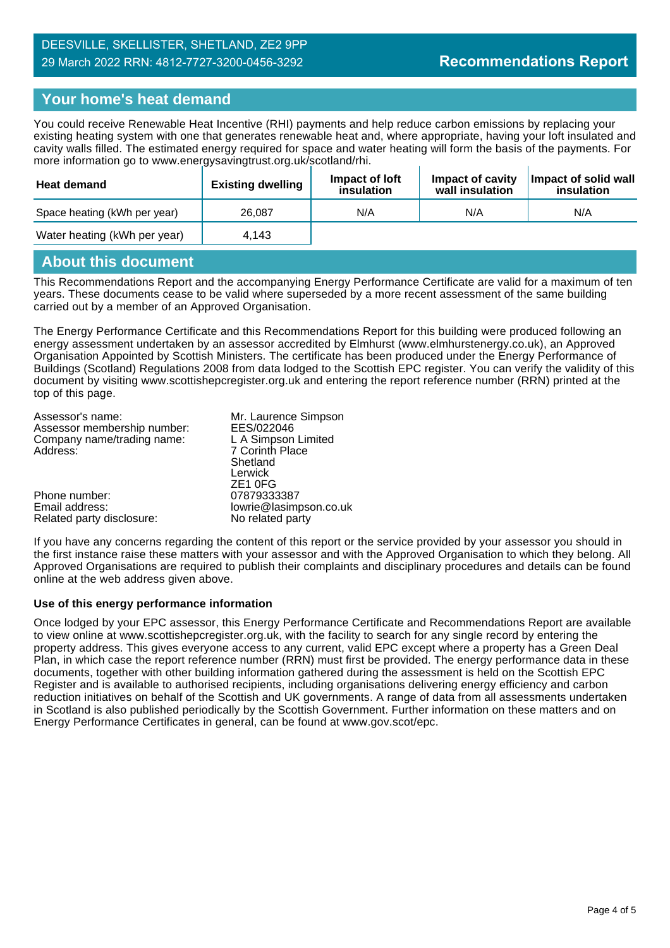## **Your home's heat demand**

You could receive Renewable Heat Incentive (RHI) payments and help reduce carbon emissions by replacing your existing heating system with one that generates renewable heat and, where appropriate, having your loft insulated and cavity walls filled. The estimated energy required for space and water heating will form the basis of the payments. For more information go to www.energysavingtrust.org.uk/scotland/rhi.

| <b>Heat demand</b>           | <b>Existing dwelling</b> | Impact of loft<br>insulation | Impact of cavity<br>wall insulation | Impact of solid wall<br>insulation |
|------------------------------|--------------------------|------------------------------|-------------------------------------|------------------------------------|
| Space heating (kWh per year) | 26.087                   | N/A                          | N/A                                 | N/A                                |
| Water heating (kWh per year) | 4.143                    |                              |                                     |                                    |

#### **About this document**

This Recommendations Report and the accompanying Energy Performance Certificate are valid for a maximum of ten years. These documents cease to be valid where superseded by a more recent assessment of the same building carried out by a member of an Approved Organisation.

The Energy Performance Certificate and this Recommendations Report for this building were produced following an energy assessment undertaken by an assessor accredited by Elmhurst (www.elmhurstenergy.co.uk), an Approved Organisation Appointed by Scottish Ministers. The certificate has been produced under the Energy Performance of Buildings (Scotland) Regulations 2008 from data lodged to the Scottish EPC register. You can verify the validity of this document by visiting www.scottishepcregister.org.uk and entering the report reference number (RRN) printed at the top of this page.

| Assessor's name:            | Mr. Laurence Simpson   |
|-----------------------------|------------------------|
| Assessor membership number: | EES/022046             |
| Company name/trading name:  | L A Simpson Limited    |
| Address:                    | 7 Corinth Place        |
|                             | Shetland               |
|                             | Lerwick                |
|                             | ZE <sub>1</sub> OFG    |
| Phone number:               | 07879333387            |
| Email address:              | lowrie@lasimpson.co.uk |

Related party disclosure: No related party

If you have any concerns regarding the content of this report or the service provided by your assessor you should in the first instance raise these matters with your assessor and with the Approved Organisation to which they belong. All Approved Organisations are required to publish their complaints and disciplinary procedures and details can be found online at the web address given above.

#### **Use of this energy performance information**

Once lodged by your EPC assessor, this Energy Performance Certificate and Recommendations Report are available to view online at www.scottishepcregister.org.uk, with the facility to search for any single record by entering the property address. This gives everyone access to any current, valid EPC except where a property has a Green Deal Plan, in which case the report reference number (RRN) must first be provided. The energy performance data in these documents, together with other building information gathered during the assessment is held on the Scottish EPC Register and is available to authorised recipients, including organisations delivering energy efficiency and carbon reduction initiatives on behalf of the Scottish and UK governments. A range of data from all assessments undertaken in Scotland is also published periodically by the Scottish Government. Further information on these matters and on Energy Performance Certificates in general, can be found at www.gov.scot/epc.